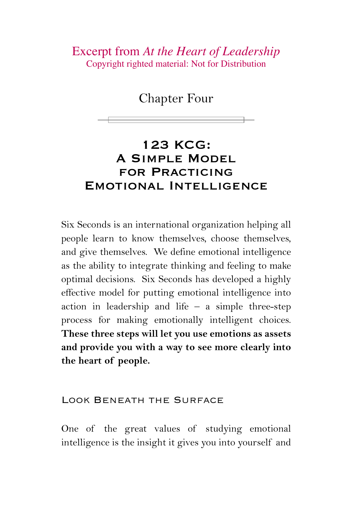Excerpt from *At the Heart of Leadership* Copyright righted material: Not for Distribution

Chapter Four

# 123 KCG: A Simple Model for Practicing Emotional Intelligence

Six Seconds is an international organization helping all people learn to know themselves, choose themselves, and give themselves. We define emotional intelligence as the ability to integrate thinking and feeling to make optimal decisions. Six Seconds has developed a highly effective model for putting emotional intelligence into action in leadership and life  $-$  a simple three-step process for making emotionally intelligent choices. **These three steps will let you use emotions as assets and provide you with a way to see more clearly into the heart of people.**

#### Look Beneath the Surface

One of the great values of studying emotional intelligence is the insight it gives you into yourself and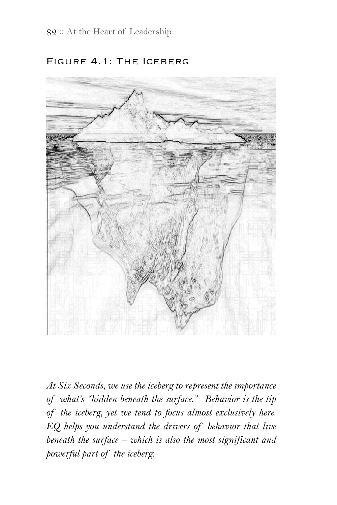

#### Figure 4.1: The Iceberg

*At Six Seconds, we use the iceberg to represent the importance of what's "hidden beneath the surface." Behavior is the tip of the iceberg, yet we tend to focus almost exclusively here. EQ helps you understand the drivers of behavior that live beneath the surface – which is also the most significant and powerful part of the iceberg.*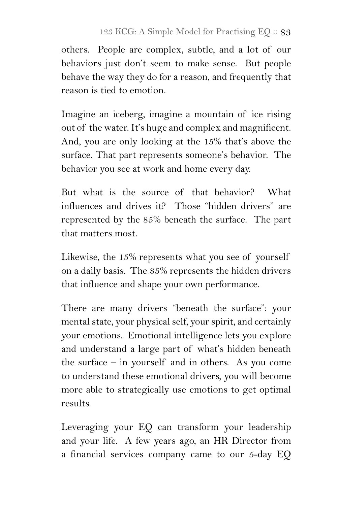others. People are complex, subtle, and a lot of our behaviors just don't seem to make sense. But people behave the way they do for a reason, and frequently that reason is tied to emotion.

Imagine an iceberg, imagine a mountain of ice rising out of the water. It's huge and complex and magnificent. And, you are only looking at the 15% that's above the surface. That part represents someone's behavior. The behavior you see at work and home every day.

But what is the source of that behavior? What influences and drives it? Those "hidden drivers" are represented by the 85% beneath the surface. The part that matters most.

Likewise, the 15% represents what you see of yourself on a daily basis. The 85% represents the hidden drivers that influence and shape your own performance.

There are many drivers "beneath the surface": your mental state, your physical self, your spirit, and certainly your emotions. Emotional intelligence lets you explore and understand a large part of what's hidden beneath the surface – in yourself and in others. As you come to understand these emotional drivers, you will become more able to strategically use emotions to get optimal results.

Leveraging your EQ can transform your leadership and your life. A few years ago, an HR Director from a financial services company came to our 5-day EQ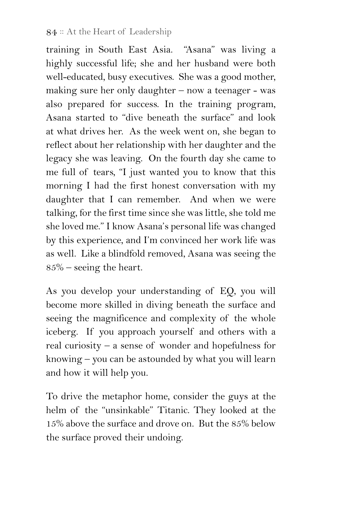training in South East Asia. "Asana" was living a highly successful life; she and her husband were both well-educated, busy executives. She was a good mother, making sure her only daughter – now a teenager - was also prepared for success. In the training program, Asana started to "dive beneath the surface" and look at what drives her. As the week went on, she began to reflect about her relationship with her daughter and the legacy she was leaving. On the fourth day she came to me full of tears, "I just wanted you to know that this morning I had the first honest conversation with my daughter that I can remember. And when we were talking, for the first time since she was little, she told me she loved me." I know Asana's personal life was changed by this experience, and I'm convinced her work life was as well. Like a blindfold removed, Asana was seeing the 85% – seeing the heart.

As you develop your understanding of EQ, you will become more skilled in diving beneath the surface and seeing the magnificence and complexity of the whole iceberg. If you approach yourself and others with a real curiosity – a sense of wonder and hopefulness for knowing – you can be astounded by what you will learn and how it will help you.

To drive the metaphor home, consider the guys at the helm of the "unsinkable" Titanic. They looked at the 15% above the surface and drove on. But the 85% below the surface proved their undoing.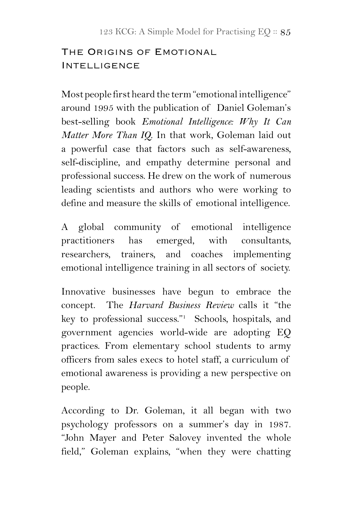## THE ORIGINS OF EMOTIONAL **INTELLIGENCE**

Most people first heard the term "emotional intelligence" around 1995 with the publication of Daniel Goleman's best-selling book *Emotional Intelligence: Why It Can Matter More Than IQ*. In that work, Goleman laid out a powerful case that factors such as self-awareness, self-discipline, and empathy determine personal and professional success. He drew on the work of numerous leading scientists and authors who were working to define and measure the skills of emotional intelligence.

A global community of emotional intelligence practitioners has emerged, with consultants, researchers, trainers, and coaches implementing emotional intelligence training in all sectors of society.

Innovative businesses have begun to embrace the concept. The *Harvard Business Review* calls it "the key to professional success."1 Schools, hospitals, and government agencies world-wide are adopting EQ practices. From elementary school students to army officers from sales execs to hotel staff, a curriculum of emotional awareness is providing a new perspective on people.

According to Dr. Goleman, it all began with two psychology professors on a summer's day in 1987. "John Mayer and Peter Salovey invented the whole field," Goleman explains, "when they were chatting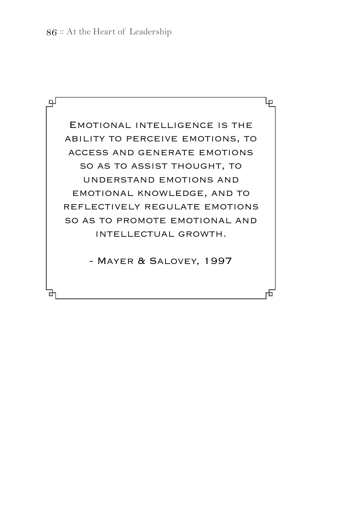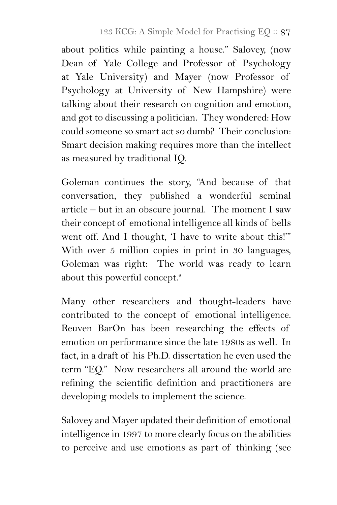about politics while painting a house." Salovey, (now Dean of Yale College and Professor of Psychology at Yale University) and Mayer (now Professor of Psychology at University of New Hampshire) were talking about their research on cognition and emotion, and got to discussing a politician. They wondered: How could someone so smart act so dumb? Their conclusion: Smart decision making requires more than the intellect as measured by traditional IQ.

Goleman continues the story, "And because of that conversation, they published a wonderful seminal article – but in an obscure journal. The moment I saw their concept of emotional intelligence all kinds of bells went off. And I thought, 'I have to write about this!'" With over 5 million copies in print in 30 languages, Goleman was right: The world was ready to learn about this powerful concept.<sup>2</sup>

Many other researchers and thought-leaders have contributed to the concept of emotional intelligence. Reuven BarOn has been researching the effects of emotion on performance since the late 1980s as well. In fact, in a draft of his Ph.D. dissertation he even used the term "EQ." Now researchers all around the world are refining the scientific definition and practitioners are developing models to implement the science.

Salovey and Mayer updated their definition of emotional intelligence in 1997 to more clearly focus on the abilities to perceive and use emotions as part of thinking (see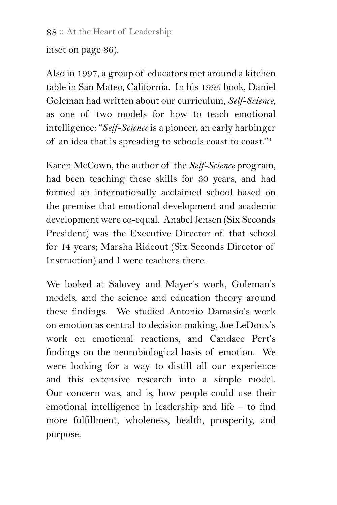88 : At the Heart of Leadership

inset on page 86).

Also in 1997, a group of educators met around a kitchen table in San Mateo, California. In his 1995 book, Daniel Goleman had written about our curriculum, *Self-Science*, as one of two models for how to teach emotional intelligence: "*Self-Science* is a pioneer, an early harbinger of an idea that is spreading to schools coast to coast."3

Karen McCown, the author of the *Self-Science* program, had been teaching these skills for 30 years, and had formed an internationally acclaimed school based on the premise that emotional development and academic development were co-equal. Anabel Jensen (Six Seconds President) was the Executive Director of that school for 14 years; Marsha Rideout (Six Seconds Director of Instruction) and I were teachers there.

We looked at Salovey and Mayer's work, Goleman's models, and the science and education theory around these findings. We studied Antonio Damasio's work on emotion as central to decision making, Joe LeDoux's work on emotional reactions, and Candace Pert's findings on the neurobiological basis of emotion. We were looking for a way to distill all our experience and this extensive research into a simple model. Our concern was, and is, how people could use their emotional intelligence in leadership and life – to find more fulfillment, wholeness, health, prosperity, and purpose.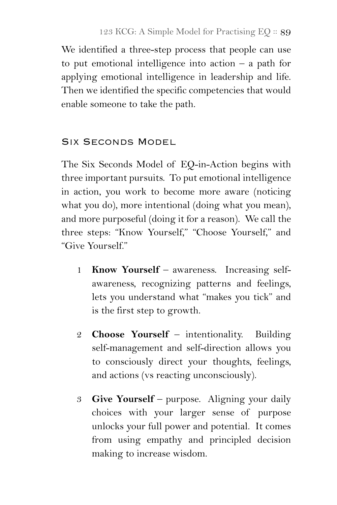We identified a three-step process that people can use to put emotional intelligence into action – a path for applying emotional intelligence in leadership and life. Then we identified the specific competencies that would enable someone to take the path.

### Six Seconds Model

The Six Seconds Model of EQ-in-Action begins with three important pursuits. To put emotional intelligence in action, you work to become more aware (noticing what you do), more intentional (doing what you mean), and more purposeful (doing it for a reason). We call the three steps: "Know Yourself," "Choose Yourself," and "Give Yourself."

- 1 **Know Yourself** awareness. Increasing selfawareness, recognizing patterns and feelings, lets you understand what "makes you tick" and is the first step to growth.
- 2 **Choose Yourself** intentionality. Building self-management and self-direction allows you to consciously direct your thoughts, feelings, and actions (vs reacting unconsciously).
- 3 **Give Yourself** purpose. Aligning your daily choices with your larger sense of purpose unlocks your full power and potential. It comes from using empathy and principled decision making to increase wisdom.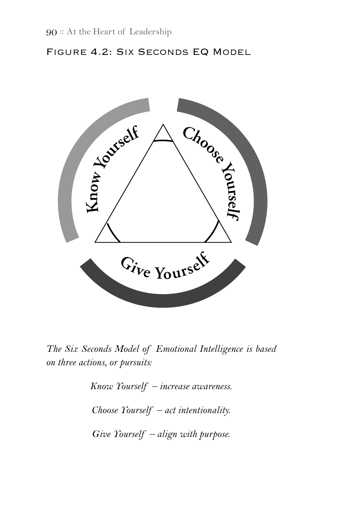#### Figure 4.2: Six Seconds EQ Model



*The Six Seconds Model of Emotional Intelligence is based on three actions, or pursuits:*

*Know Yourself – increase awareness.*

*Choose Yourself – act intentionality.* 

*Give Yourself – align with purpose.*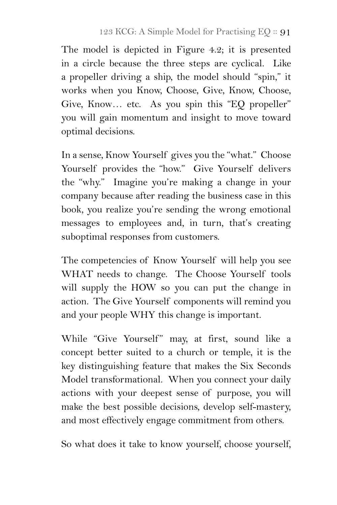The model is depicted in Figure 4.2; it is presented in a circle because the three steps are cyclical. Like a propeller driving a ship, the model should "spin," it works when you Know, Choose, Give, Know, Choose, Give, Know… etc. As you spin this "EQ propeller" you will gain momentum and insight to move toward optimal decisions.

In a sense, Know Yourself gives you the "what." Choose Yourself provides the "how." Give Yourself delivers the "why." Imagine you're making a change in your company because after reading the business case in this book, you realize you're sending the wrong emotional messages to employees and, in turn, that's creating suboptimal responses from customers.

The competencies of Know Yourself will help you see WHAT needs to change. The Choose Yourself tools will supply the HOW so you can put the change in action. The Give Yourself components will remind you and your people WHY this change is important.

While "Give Yourself" may, at first, sound like a concept better suited to a church or temple, it is the key distinguishing feature that makes the Six Seconds Model transformational. When you connect your daily actions with your deepest sense of purpose, you will make the best possible decisions, develop self-mastery, and most effectively engage commitment from others.

So what does it take to know yourself, choose yourself,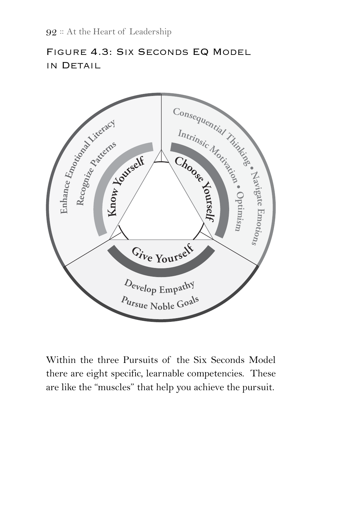### Figure 4.3: Six Seconds EQ Model in Detail



Within the three Pursuits of the Six Seconds Model there are eight specific, learnable competencies. These are like the "muscles" that help you achieve the pursuit.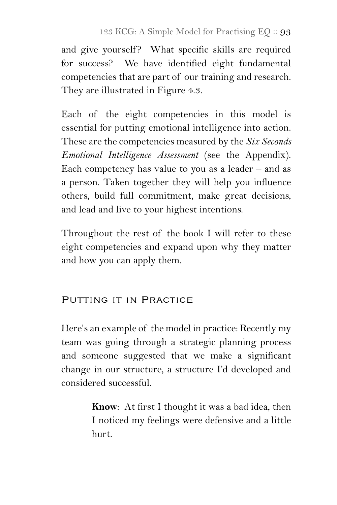and give yourself? What specific skills are required for success? We have identified eight fundamental competencies that are part of our training and research. They are illustrated in Figure 4.3.

Each of the eight competencies in this model is essential for putting emotional intelligence into action. These are the competencies measured by the *Six Seconds Emotional Intelligence Assessment* (see the Appendix). Each competency has value to you as a leader  $-$  and as a person. Taken together they will help you influence others, build full commitment, make great decisions, and lead and live to your highest intentions.

Throughout the rest of the book I will refer to these eight competencies and expand upon why they matter and how you can apply them.

#### PUTTING IT IN PRACTICE

Here's an example of the model in practice: Recently my team was going through a strategic planning process and someone suggested that we make a significant change in our structure, a structure I'd developed and considered successful.

> **Know**: At first I thought it was a bad idea, then I noticed my feelings were defensive and a little hurt.